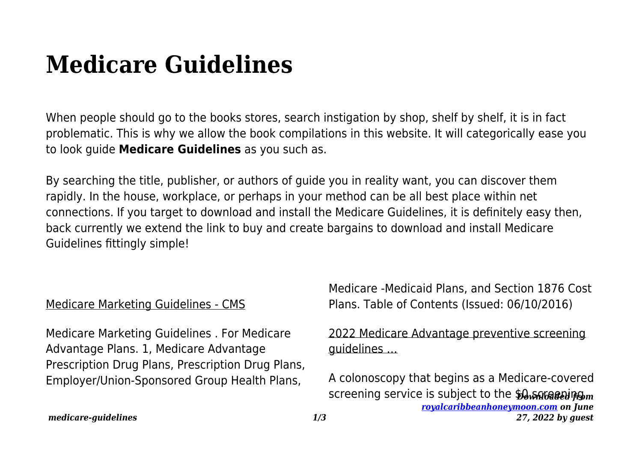# **Medicare Guidelines**

When people should go to the books stores, search instigation by shop, shelf by shelf, it is in fact problematic. This is why we allow the book compilations in this website. It will categorically ease you to look guide **Medicare Guidelines** as you such as.

By searching the title, publisher, or authors of guide you in reality want, you can discover them rapidly. In the house, workplace, or perhaps in your method can be all best place within net connections. If you target to download and install the Medicare Guidelines, it is definitely easy then, back currently we extend the link to buy and create bargains to download and install Medicare Guidelines fittingly simple!

## Medicare Marketing Guidelines - CMS

Medicare Marketing Guidelines . For Medicare Advantage Plans. 1, Medicare Advantage Prescription Drug Plans, Prescription Drug Plans, Employer/Union-Sponsored Group Health Plans,

Medicare -Medicaid Plans, and Section 1876 Cost Plans. Table of Contents (Issued: 06/10/2016)

## 2022 Medicare Advantage preventive screening guidelines …

*s* creening service is subject to the \$0 หิน 6 ลอย ทุฒ *[royalcaribbeanhoneymoon.com](http://royalcaribbeanhoneymoon.com) on June 27, 2022 by guest* A colonoscopy that begins as a Medicare-covered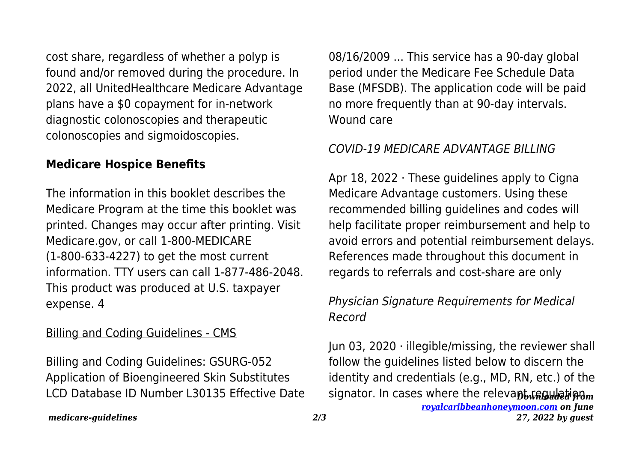cost share, regardless of whether a polyp is found and/or removed during the procedure. In 2022, all UnitedHealthcare Medicare Advantage plans have a \$0 copayment for in-network diagnostic colonoscopies and therapeutic colonoscopies and sigmoidoscopies.

### **Medicare Hospice Benefits**

The information in this booklet describes the Medicare Program at the time this booklet was printed. Changes may occur after printing. Visit Medicare.gov, or call 1-800-MEDICARE (1-800-633-4227) to get the most current information. TTY users can call 1-877-486-2048. This product was produced at U.S. taxpayer expense. 4

#### Billing and Coding Guidelines - CMS

Billing and Coding Guidelines: GSURG-052 Application of Bioengineered Skin Substitutes LCD Database ID Number L30135 Effective Date 08/16/2009 ... This service has a 90-day global period under the Medicare Fee Schedule Data Base (MFSDB). The application code will be paid no more frequently than at 90-day intervals. Wound care

## COVID-19 MEDICARE ADVANTAGE BILLING

Apr 18, 2022 · These guidelines apply to Cigna Medicare Advantage customers. Using these recommended billing guidelines and codes will help facilitate proper reimbursement and help to avoid errors and potential reimbursement delays. References made throughout this document in regards to referrals and cost-share are only

# Physician Signature Requirements for Medical Record

signator. In cases where the relevant regulation, *[royalcaribbeanhoneymoon.com](http://royalcaribbeanhoneymoon.com) on June* Jun 03, 2020  $\cdot$  illegible/missing, the reviewer shall follow the guidelines listed below to discern the identity and credentials (e.g., MD, RN, etc.) of the